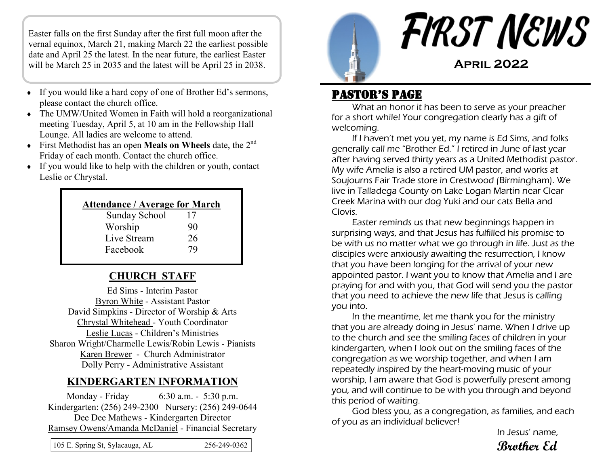Easter falls on the first Sunday after the first full moon after the vernal equinox, March 21, making March 22 the earliest possible date and April 25 the latest. In the near future, the earliest Easter will be March 25 in 2035 and the latest will be April 25 in 2038.

- If you would like a hard copy of one of Brother Ed's sermons, please contact the church office.
- The UMW/United Women in Faith will hold a reorganizational meeting Tuesday, April 5, at 10 am in the Fellowship Hall Lounge. All ladies are welcome to attend.
- First Methodist has an open **Meals on Wheels** date, the 2nd Friday of each month. Contact the church office.
- If you would like to help with the children or youth, contact Leslie or Chrystal.

| <b>Attendance / Average for March</b> |    |  |  |  |  |  |
|---------------------------------------|----|--|--|--|--|--|
| <b>Sunday School</b>                  | 17 |  |  |  |  |  |
| Worship                               | 90 |  |  |  |  |  |
| Live Stream                           | 26 |  |  |  |  |  |
| Facebook                              | 79 |  |  |  |  |  |
|                                       |    |  |  |  |  |  |

#### **CHURCH STAFF**

Ed Sims - Interim Pastor Byron White - Assistant Pastor David Simpkins - Director of Worship & Arts Chrystal Whitehead - Youth Coordinator Leslie Lucas - Children's Ministries Sharon Wright/Charmelle Lewis/Robin Lewis - Pianists Karen Brewer - Church Administrator Dolly Perry - Administrative Assistant

#### **KINDERGARTEN INFORMATION**

Monday - Friday 6:30 a.m. - 5:30 p.m. Kindergarten: (256) 249-2300 Nursery: (256) 249-0644 Dee Dee Mathews - Kindergarten Director Ramsey Owens/Amanda McDaniel - Financial Secretary

| 105 E. Spring St, Sylacauga, AL | 256-249-0362 |
|---------------------------------|--------------|
|                                 |              |



#### Pastor's Page

What an honor it has been to serve as your preacher for a short while! Your congregation clearly has a gift of welcoming.

If I haven't met you yet, my name is Ed Sims, and folks generally call me "Brother Ed." I retired in June of last year after having served thirty years as a United Methodist pastor. My wife Amelia is also a retired UM pastor, and works at Soujourns Fair Trade store in Crestwood (Birmingham). We live in Talladega County on Lake Logan Martin near Clear Creek Marina with our dog Yuki and our cats Bella and Clovis.

Easter reminds us that new beginnings happen in surprising ways, and that Jesus has fulfilled his promise to be with us no matter what we go through in life. Just as the disciples were anxiously awaiting the resurrection, I know that you have been longing for the arrival of your new appointed pastor. I want you to know that Amelia and I are praying for and with you, that God will send you the pastor that you need to achieve the new life that Jesus is calling you into.

In the meantime, let me thank you for the ministry that you are already doing in Jesus' name. When I drive up to the church and see the smiling faces of children in your kindergarten, when I look out on the smiling faces of the congregation as we worship together, and when I am repeatedly inspired by the heart-moving music of your worship, I am aware that God is powerfully present among you, and will continue to be with you through and beyond this period of waiting.

God bless you, as a congregation, as families, and each of you as an individual believer!

In Jesus' name, **Brother Ed**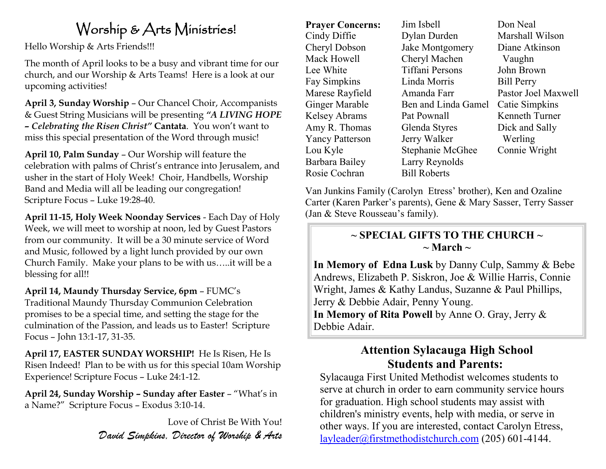# Worship & Arts Ministries!

Hello Worship & Arts Friends!!!

The month of April looks to be a busy and vibrant time for our church, and our Worship & Arts Teams! Here is a look at our upcoming activities!

**April 3, Sunday Worship** – Our Chancel Choir, Accompanists & Guest String Musicians will be presenting *"A LIVING HOPE – Celebrating the Risen Christ"* **Cantata**. You won't want to miss this special presentation of the Word through music!

**April 10, Palm Sunday** – Our Worship will feature the celebration with palms of Christ's entrance into Jerusalem, and usher in the start of Holy Week! Choir, Handbells, Worship Band and Media will all be leading our congregation! Scripture Focus – Luke 19:28-40.

**April 11-15, Holy Week Noonday Services** - Each Day of Holy Week, we will meet to worship at noon, led by Guest Pastors from our community. It will be a 30 minute service of Word and Music, followed by a light lunch provided by our own Church Family. Make your plans to be with us…..it will be a blessing for all!!

**April 14, Maundy Thursday Service, 6pm** – FUMC's Traditional Maundy Thursday Communion Celebration promises to be a special time, and setting the stage for the culmination of the Passion, and leads us to Easter! Scripture Focus – John 13:1-17, 31-35.

**April 17, EASTER SUNDAY WORSHIP!** He Is Risen, He Is Risen Indeed! Plan to be with us for this special 10am Worship Experience! Scripture Focus – Luke 24:1-12.

**April 24, Sunday Worship – Sunday after Easter** – "What's in a Name?" Scripture Focus – Exodus 3:10-14.

> Love of Christ Be With You! *David Simpkins, Director of Worship & Arts*

**Prayer Concerns:**  Cindy Diffie Cheryl Dobson Mack Howell Lee White Fay Simpkins Marese Rayfield Ginger Marable Kelsey Abrams Amy R. Thomas Yancy Patterson Lou Kyle Barbara Bailey Rosie Cochran

Jim Isbell Dylan Durden Jake Montgomery Cheryl Machen Tiffani Persons Linda Morris Amanda Farr Ben and Linda Gamel Pat Pownall Glenda Styres Jerry Walker Stephanie McGhee Larry Reynolds Bill Roberts

Don Neal Marshall Wilson Diane Atkinson Vaughn John Brown Bill Perry Pastor Joel Maxwell Catie Simpkins Kenneth Turner Dick and Sally Werling Connie Wright

Van Junkins Family (Carolyn Etress' brother), Ken and Ozaline Carter (Karen Parker's parents), Gene & Mary Sasser, Terry Sasser (Jan & Steve Rousseau's family).

#### **~ SPECIAL GIFTS TO THE CHURCH ~**   $\sim$  March  $\sim$

**In Memory of Edna Lusk** by Danny Culp, Sammy & Bebe Andrews, Elizabeth P. Siskron, Joe & Willie Harris, Connie Wright, James & Kathy Landus, Suzanne & Paul Phillips, Jerry & Debbie Adair, Penny Young. **In Memory of Rita Powell** by Anne O. Gray, Jerry & Debbie Adair.

### **Attention Sylacauga High School Students and Parents:**

Sylacauga First United Methodist welcomes students to serve at church in order to earn community service hours for graduation. High school students may assist with children's ministry events, help with media, or serve in other ways. If you are interested, contact Carolyn Etress, [layleader@firstmethodistchurch.com](mailto:layleader@firstmethodistchurch.com) (205) 601-4144.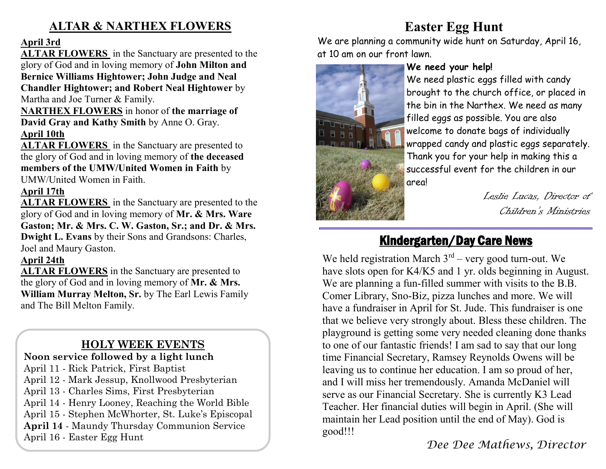### **ALTAR & NARTHEX FLOWERS**

#### **April 3rd**

**ALTAR FLOWERS** in the Sanctuary are presented to the glory of God and in loving memory of **John Milton and Bernice Williams Hightower; John Judge and Neal Chandler Hightower; and Robert Neal Hightower** by Martha and Joe Turner & Family.

**NARTHEX FLOWERS** in honor of **the marriage of David Gray and Kathy Smith** by Anne O. Gray. **April 10th**

**ALTAR FLOWERS** in the Sanctuary are presented to the glory of God and in loving memory of **the deceased members of the UMW/United Women in Faith** by UMW/United Women in Faith.

#### **April 17th**

**ALTAR FLOWERS** in the Sanctuary are presented to the glory of God and in loving memory of **Mr. & Mrs. Ware Gaston; Mr. & Mrs. C. W. Gaston, Sr.; and Dr. & Mrs. Dwight L. Evans** by their Sons and Grandsons: Charles, Joel and Maury Gaston.

#### **April 24th**

**ALTAR FLOWERS** in the Sanctuary are presented to the glory of God and in loving memory of **Mr. & Mrs. William Murray Melton, Sr.** by The Earl Lewis Family and The Bill Melton Family.

## **HOLY WEEK EVENTS**

#### **Noon service followed by a light lunch** April 11 - Rick Patrick, First Baptist April 12 - Mark Jessup, Knollwood Presbyterian April 13 - Charles Sims, First Presbyterian April 14 - Henry Looney, Reaching the World Bible April 15 - Stephen McWhorter, St. Luke's Episcopal **April 14** - Maundy Thursday Communion Service April 16 - Easter Egg Hunt

## **Easter Egg Hunt**

We are planning a community wide hunt on Saturday, April 16, at 10 am on our front lawn.



#### **We need your help!**

We need plastic eggs filled with candy brought to the church office, or placed in the bin in the Narthex. We need as many filled eggs as possible. You are also welcome to donate bags of individually wrapped candy and plastic eggs separately. Thank you for your help in making this a successful event for the children in our area!

> Leslie Lucas, Director of Children's Ministries

## Kindergarten/Day Care News

We held registration March  $3<sup>rd</sup>$  – very good turn-out. We have slots open for K4/K5 and 1 yr. olds beginning in August. We are planning a fun-filled summer with visits to the B.B. Comer Library, Sno-Biz, pizza lunches and more. We will have a fundraiser in April for St. Jude. This fundraiser is one that we believe very strongly about. Bless these children. The playground is getting some very needed cleaning done thanks to one of our fantastic friends! I am sad to say that our long time Financial Secretary, Ramsey Reynolds Owens will be leaving us to continue her education. I am so proud of her, and I will miss her tremendously. Amanda McDaniel will serve as our Financial Secretary. She is currently K3 Lead Teacher. Her financial duties will begin in April. (She will maintain her Lead position until the end of May). God is good!!!

*Dee Dee Mathews, Director*